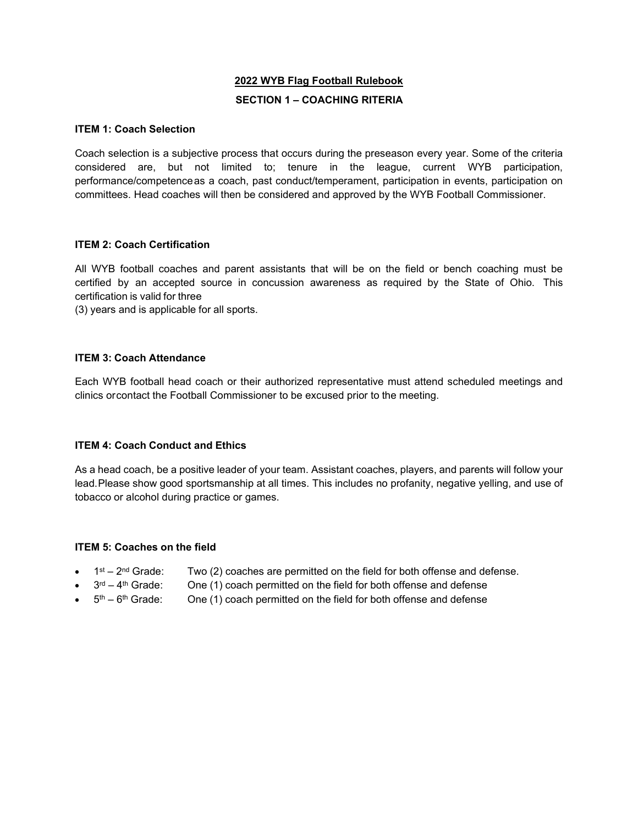## **2022 WYB Flag Football Rulebook**

## **SECTION 1 – COACHING RITERIA**

#### **ITEM 1: Coach Selection**

Coach selection is a subjective process that occurs during the preseason every year. Some of the criteria considered are, but not limited to; tenure in the league, current WYB participation, performance/competenceas a coach, past conduct/temperament, participation in events, participation on committees. Head coaches will then be considered and approved by the WYB Football Commissioner.

## **ITEM 2: Coach Certification**

All WYB football coaches and parent assistants that will be on the field or bench coaching must be certified by an accepted source in concussion awareness as required by the State of Ohio. This certification is valid for three

(3) years and is applicable for all sports.

## **ITEM 3: Coach Attendance**

Each WYB football head coach or their authorized representative must attend scheduled meetings and clinics or contact the Football Commissioner to be excused prior to the meeting.

#### **ITEM 4: Coach Conduct and Ethics**

As a head coach, be a positive leader of your team. Assistant coaches, players, and parents will follow your lead.Please show good sportsmanship at all times. This includes no profanity, negative yelling, and use of tobacco or alcohol during practice or games.

#### **ITEM 5: Coaches on the field**

- $1<sup>st</sup> 2<sup>nd</sup> Grade:$  Two (2) coaches are permitted on the field for both offense and defense.
	- $3<sup>rd</sup> 4<sup>th</sup>$  Grade: One (1) coach permitted on the field for both offense and defense
- $5<sup>th</sup> 6<sup>th</sup>$  Grade: One (1) coach permitted on the field for both offense and defense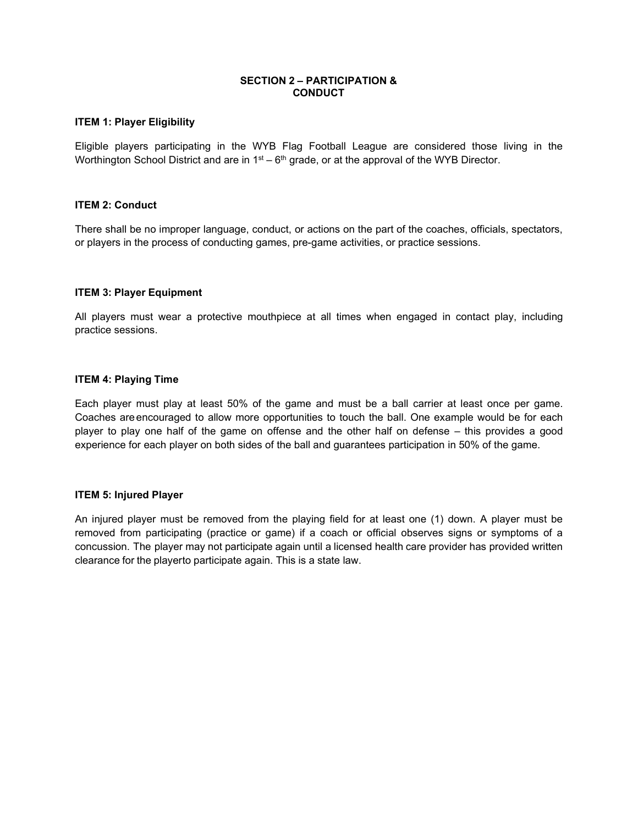## **SECTION 2 – PARTICIPATION & CONDUCT**

### **ITEM 1: Player Eligibility**

Eligible players participating in the WYB Flag Football League are considered those living in the Worthington School District and are in  $1<sup>st</sup> - 6<sup>th</sup>$  grade, or at the approval of the WYB Director.

#### **ITEM 2: Conduct**

There shall be no improper language, conduct, or actions on the part of the coaches, officials, spectators, or players in the process of conducting games, pre-game activities, or practice sessions.

#### **ITEM 3: Player Equipment**

All players must wear a protective mouthpiece at all times when engaged in contact play, including practice sessions.

#### **ITEM 4: Playing Time**

Each player must play at least 50% of the game and must be a ball carrier at least once per game. Coaches areencouraged to allow more opportunities to touch the ball. One example would be for each player to play one half of the game on offense and the other half on defense – this provides a good experience for each player on both sides of the ball and guarantees participation in 50% of the game.

#### **ITEM 5: Injured Player**

An injured player must be removed from the playing field for at least one (1) down. A player must be removed from participating (practice or game) if a coach or official observes signs or symptoms of a concussion. The player may not participate again until a licensed health care provider has provided written clearance for the playerto participate again. This is a state law.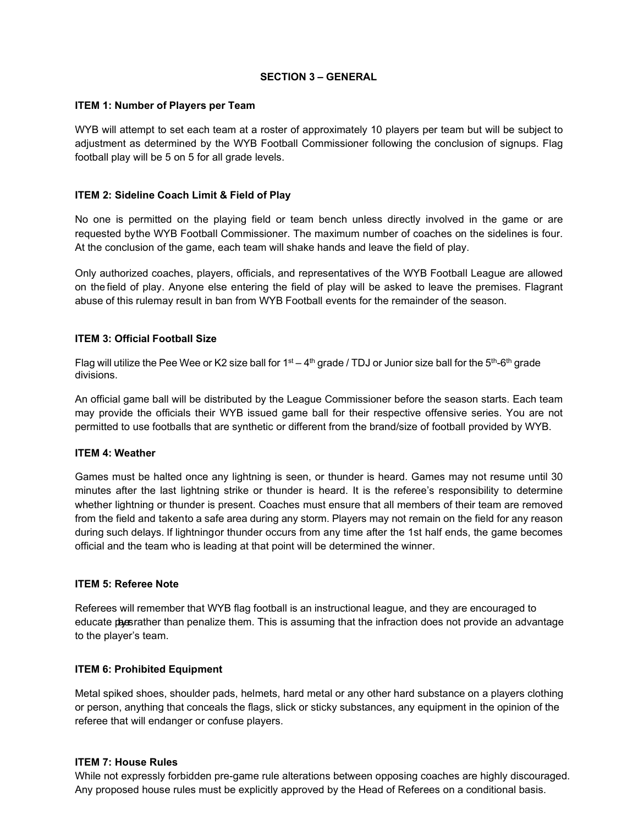## **SECTION 3 – GENERAL**

## **ITEM 1: Number of Players per Team**

WYB will attempt to set each team at a roster of approximately 10 players per team but will be subject to adjustment as determined by the WYB Football Commissioner following the conclusion of signups. Flag football play will be 5 on 5 for all grade levels.

## **ITEM 2: Sideline Coach Limit & Field of Play**

No one is permitted on the playing field or team bench unless directly involved in the game or are requested bythe WYB Football Commissioner. The maximum number of coaches on the sidelines is four. At the conclusion of the game, each team will shake hands and leave the field of play.

Only authorized coaches, players, officials, and representatives of the WYB Football League are allowed on the field of play. Anyone else entering the field of play will be asked to leave the premises. Flagrant abuse of this rulemay result in ban from WYB Football events for the remainder of the season.

## **ITEM 3: Official Football Size**

Flag will utilize the Pee Wee or K2 size ball for 1st – 4th grade / TDJ or Junior size ball for the 5<sup>th</sup>-6<sup>th</sup> grade divisions.

An official game ball will be distributed by the League Commissioner before the season starts. Each team may provide the officials their WYB issued game ball for their respective offensive series. You are not permitted to use footballs that are synthetic or different from the brand/size of football provided by WYB.

## **ITEM 4: Weather**

Games must be halted once any lightning is seen, or thunder is heard. Games may not resume until 30 minutes after the last lightning strike or thunder is heard. It is the referee's responsibility to determine whether lightning or thunder is present. Coaches must ensure that all members of their team are removed from the field and takento a safe area during any storm. Players may not remain on the field for any reason during such delays. If lightningor thunder occurs from any time after the 1st half ends, the game becomes official and the team who is leading at that point will be determined the winner.

## **ITEM 5: Referee Note**

Referees will remember that WYB flag football is an instructional league, and they are encouraged to educate pasarather than penalize them. This is assuming that the infraction does not provide an advantage to the player's team.

## **ITEM 6: Prohibited Equipment**

Metal spiked shoes, shoulder pads, helmets, hard metal or any other hard substance on a players clothing or person, anything that conceals the flags, slick or sticky substances, any equipment in the opinion of the referee that will endanger or confuse players.

## **ITEM 7: House Rules**

While not expressly forbidden pre-game rule alterations between opposing coaches are highly discouraged. Any proposed house rules must be explicitly approved by the Head of Referees on a conditional basis.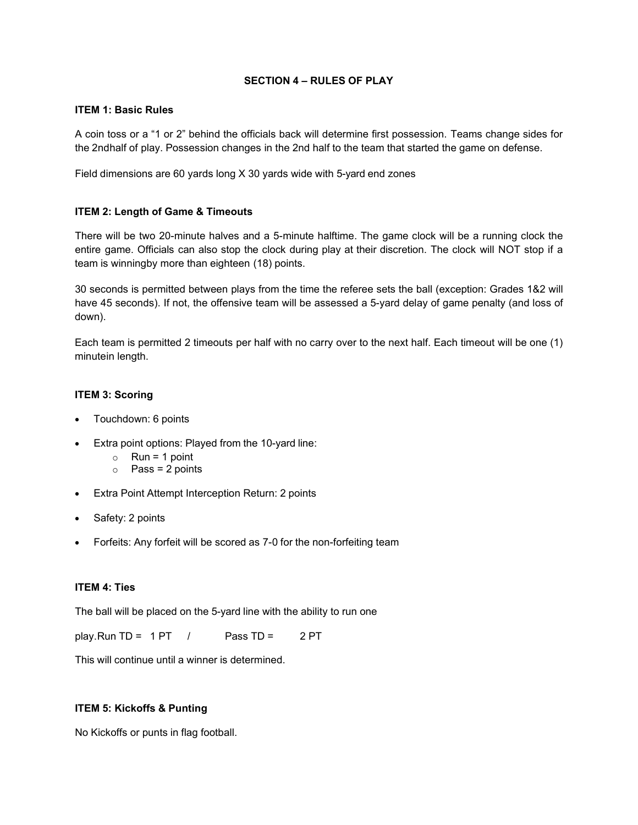## **SECTION 4 – RULES OF PLAY**

#### **ITEM 1: Basic Rules**

A coin toss or a "1 or 2" behind the officials back will determine first possession. Teams change sides for the 2ndhalf of play. Possession changes in the 2nd half to the team that started the game on defense.

Field dimensions are 60 yards long X 30 yards wide with 5-yard end zones

## **ITEM 2: Length of Game & Timeouts**

There will be two 20-minute halves and a 5-minute halftime. The game clock will be a running clock the entire game. Officials can also stop the clock during play at their discretion. The clock will NOT stop if a team is winningby more than eighteen (18) points.

30 seconds is permitted between plays from the time the referee sets the ball (exception: Grades 1&2 will have 45 seconds). If not, the offensive team will be assessed a 5-yard delay of game penalty (and loss of down).

Each team is permitted 2 timeouts per half with no carry over to the next half. Each timeout will be one (1) minutein length.

## **ITEM 3: Scoring**

- Touchdown: 6 points
- Extra point options: Played from the 10-yard line:
	- $\circ$  Run = 1 point
	- $\circ$  Pass = 2 points
- Extra Point Attempt Interception Return: 2 points
- Safety: 2 points
- Forfeits: Any forfeit will be scored as 7-0 for the non-forfeiting team

## **ITEM 4: Ties**

The ball will be placed on the 5-yard line with the ability to run one

play.Run TD = 1 PT / Pass TD = 2 PT

This will continue until a winner is determined.

# **ITEM 5: Kickoffs & Punting**

No Kickoffs or punts in flag football.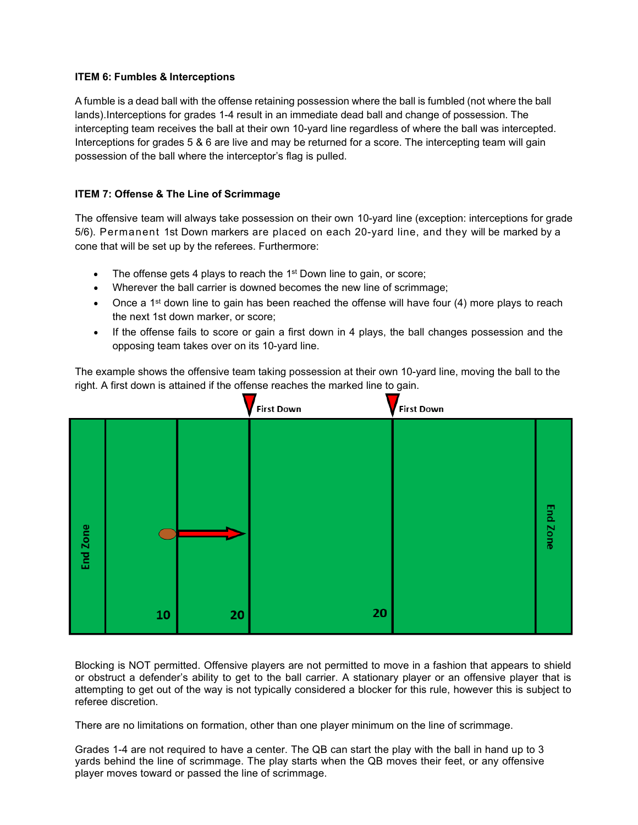## **ITEM 6: Fumbles & Interceptions**

A fumble is a dead ball with the offense retaining possession where the ball is fumbled (not where the ball lands).Interceptions for grades 1-4 result in an immediate dead ball and change of possession. The intercepting team receives the ball at their own 10-yard line regardless of where the ball was intercepted. Interceptions for grades 5 & 6 are live and may be returned for a score. The intercepting team will gain possession of the ball where the interceptor's flag is pulled.

## **ITEM 7: Offense & The Line of Scrimmage**

The offensive team will always take possession on their own 10-yard line (exception: interceptions for grade 5/6). Permanent 1st Down markers are placed on each 20-yard line, and they will be marked by a cone that will be set up by the referees. Furthermore:

- The offense gets 4 plays to reach the 1<sup>st</sup> Down line to gain, or score;
- Wherever the ball carrier is downed becomes the new line of scrimmage;
- Once a 1<sup>st</sup> down line to gain has been reached the offense will have four (4) more plays to reach the next 1st down marker, or score;
- If the offense fails to score or gain a first down in 4 plays, the ball changes possession and the opposing team takes over on its 10-yard line.

The example shows the offensive team taking possession at their own 10-yard line, moving the ball to the right. A first down is attained if the offense reaches the marked line to gain.



Blocking is NOT permitted. Offensive players are not permitted to move in a fashion that appears to shield or obstruct a defender's ability to get to the ball carrier. A stationary player or an offensive player that is attempting to get out of the way is not typically considered a blocker for this rule, however this is subject to referee discretion.

There are no limitations on formation, other than one player minimum on the line of scrimmage.

Grades 1-4 are not required to have a center. The QB can start the play with the ball in hand up to 3 yards behind the line of scrimmage. The play starts when the QB moves their feet, or any offensive player moves toward or passed the line of scrimmage.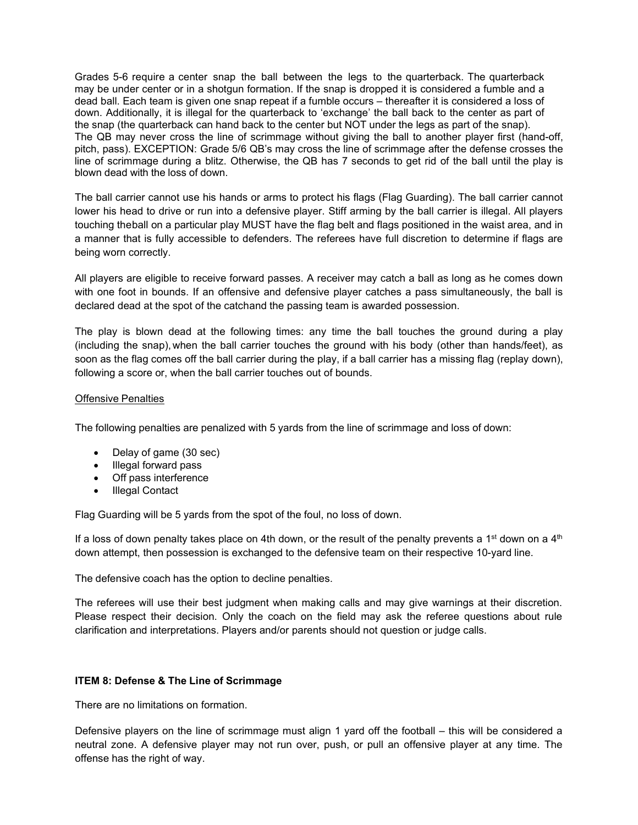Grades 5-6 require a center snap the ball between the legs to the quarterback. The quarterback may be under center or in a shotgun formation. If the snap is dropped it is considered a fumble and a dead ball. Each team is given one snap repeat if a fumble occurs – thereafter it is considered a loss of down. Additionally, it is illegal for the quarterback to 'exchange' the ball back to the center as part of the snap (the quarterback can hand back to the center but NOT under the legs as part of the snap). The QB may never cross the line of scrimmage without giving the ball to another player first (hand-off, pitch, pass). EXCEPTION: Grade 5/6 QB's may cross the line of scrimmage after the defense crosses the line of scrimmage during a blitz. Otherwise, the QB has 7 seconds to get rid of the ball until the play is blown dead with the loss of down.

The ball carrier cannot use his hands or arms to protect his flags (Flag Guarding). The ball carrier cannot lower his head to drive or run into a defensive player. Stiff arming by the ball carrier is illegal. All players touching theball on a particular play MUST have the flag belt and flags positioned in the waist area, and in a manner that is fully accessible to defenders. The referees have full discretion to determine if flags are being worn correctly.

All players are eligible to receive forward passes. A receiver may catch a ball as long as he comes down with one foot in bounds. If an offensive and defensive player catches a pass simultaneously, the ball is declared dead at the spot of the catchand the passing team is awarded possession.

The play is blown dead at the following times: any time the ball touches the ground during a play (including the snap), when the ball carrier touches the ground with his body (other than hands/feet), as soon as the flag comes off the ball carrier during the play, if a ball carrier has a missing flag (replay down), following a score or, when the ball carrier touches out of bounds.

## Offensive Penalties

The following penalties are penalized with 5 yards from the line of scrimmage and loss of down:

- Delay of game (30 sec)
- Illegal forward pass
- Off pass interference
- Illegal Contact

Flag Guarding will be 5 yards from the spot of the foul, no loss of down.

If a loss of down penalty takes place on 4th down, or the result of the penalty prevents a 1<sup>st</sup> down on a 4<sup>th</sup> down attempt, then possession is exchanged to the defensive team on their respective 10-yard line.

The defensive coach has the option to decline penalties.

The referees will use their best judgment when making calls and may give warnings at their discretion. Please respect their decision. Only the coach on the field may ask the referee questions about rule clarification and interpretations. Players and/or parents should not question or judge calls.

#### **ITEM 8: Defense & The Line of Scrimmage**

There are no limitations on formation.

Defensive players on the line of scrimmage must align 1 yard off the football – this will be considered a neutral zone. A defensive player may not run over, push, or pull an offensive player at any time. The offense has the right of way.